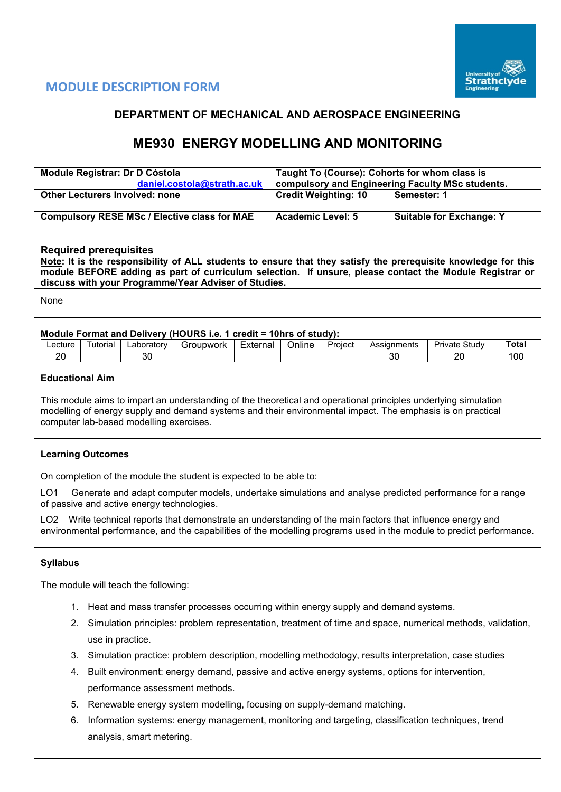

# **MODULE DESCRIPTION FORM**

## **DEPARTMENT OF MECHANICAL AND AEROSPACE ENGINEERING**

# **ME930 ENERGY MODELLING AND MONITORING**

| Module Registrar: Dr D Cóstola<br>daniel.costola@strath.ac.uk | Taught To (Course): Cohorts for whom class is<br>compulsory and Engineering Faculty MSc students. |                                 |  |  |  |  |
|---------------------------------------------------------------|---------------------------------------------------------------------------------------------------|---------------------------------|--|--|--|--|
| <b>Other Lecturers Involved: none</b>                         | <b>Credit Weighting: 10</b>                                                                       | Semester: 1                     |  |  |  |  |
| <b>Compulsory RESE MSc / Elective class for MAE</b>           | <b>Academic Level: 5</b>                                                                          | <b>Suitable for Exchange: Y</b> |  |  |  |  |

## **Required prerequisites**

**Note: It is the responsibility of ALL students to ensure that they satisfy the prerequisite knowledge for this module BEFORE adding as part of curriculum selection. If unsure, please contact the Module Registrar or discuss with your Programme/Year Adviser of Studies.** 

None

## **Module Format and Delivery (HOURS i.e. 1 credit = 10hrs of study):**

| nr<br>or<br>oc<br>ົ | ∟ecture | utorial | _aboratorv | 'IDWOrk<br>:roi | -<br>External | <b>Jnline</b> | Project | Assianments | Study<br>Private . | Tota <sub>1</sub>                     |
|---------------------|---------|---------|------------|-----------------|---------------|---------------|---------|-------------|--------------------|---------------------------------------|
| u<br>vu<br>--<br>-  |         |         |            |                 |               |               |         |             |                    | $\overline{\phantom{a}}$<br><b>UU</b> |

#### **Educational Aim**

This module aims to impart an understanding of the theoretical and operational principles underlying simulation modelling of energy supply and demand systems and their environmental impact. The emphasis is on practical computer lab-based modelling exercises.

#### **Learning Outcomes**

On completion of the module the student is expected to be able to:

LO1 Generate and adapt computer models, undertake simulations and analyse predicted performance for a range of passive and active energy technologies.

LO2 Write technical reports that demonstrate an understanding of the main factors that influence energy and environmental performance, and the capabilities of the modelling programs used in the module to predict performance.

#### **Syllabus**

The module will teach the following:

- 1. Heat and mass transfer processes occurring within energy supply and demand systems.
- 2. Simulation principles: problem representation, treatment of time and space, numerical methods, validation, use in practice.
- 3. Simulation practice: problem description, modelling methodology, results interpretation, case studies
- 4. Built environment: energy demand, passive and active energy systems, options for intervention, performance assessment methods.
- 5. Renewable energy system modelling, focusing on supply-demand matching.
- 6. Information systems: energy management, monitoring and targeting, classification techniques, trend analysis, smart metering.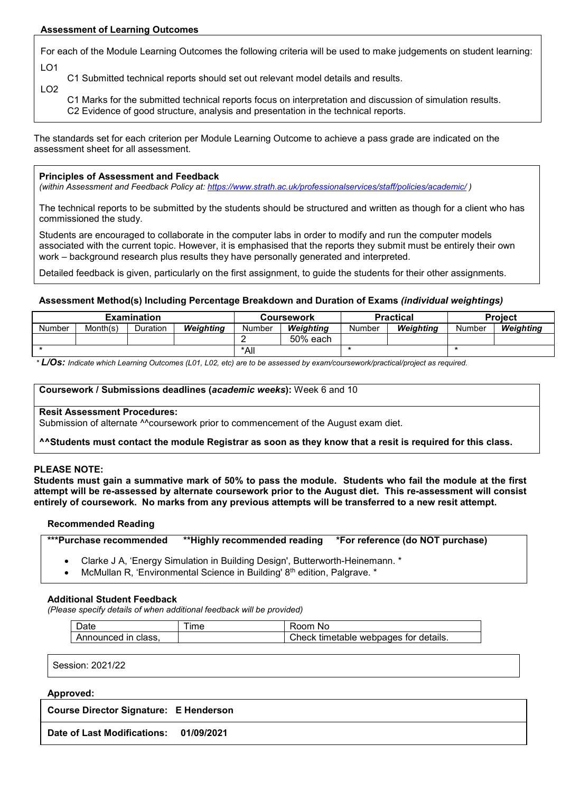## **Assessment of Learning Outcomes**

LO2

For each of the Module Learning Outcomes the following criteria will be used to make judgements on student learning: LO1

C1 Submitted technical reports should set out relevant model details and results.

C1 Marks for the submitted technical reports focus on interpretation and discussion of simulation results. C2 Evidence of good structure, analysis and presentation in the technical reports.

The standards set for each criterion per Module Learning Outcome to achieve a pass grade are indicated on the assessment sheet for all assessment.

#### **Principles of Assessment and Feedback**

*(within Assessment and Feedback Policy at: <https://www.strath.ac.uk/professionalservices/staff/policies/academic/> )*

The technical reports to be submitted by the students should be structured and written as though for a client who has commissioned the study.

Students are encouraged to collaborate in the computer labs in order to modify and run the computer models associated with the current topic. However, it is emphasised that the reports they submit must be entirely their own work – background research plus results they have personally generated and interpreted.

Detailed feedback is given, particularly on the first assignment, to guide the students for their other assignments.

#### **Assessment Method(s) Including Percentage Breakdown and Duration of Exams** *(individual weightings)*

| <b>Examination</b> |          |          |           |        | <b>Coursework</b> |        | <b>Practical</b> | <b>Project</b> |           |  |
|--------------------|----------|----------|-----------|--------|-------------------|--------|------------------|----------------|-----------|--|
| Number             | Month(s) | Duration | Weighting | Number | Weiahtina         | Number | Weiahtina        | Number         | Weiahtina |  |
|                    |          |          |           |        | 50% each          |        |                  |                |           |  |
|                    |          |          | *All      |        |                   |        |                  |                |           |  |

*\* L/Os: Indicate which Learning Outcomes (L01, L02, etc) are to be assessed by exam/coursework/practical/project as required.*

#### **Coursework / Submissions deadlines (***academic weeks***):** Week 6 and 10

#### **Resit Assessment Procedures:**

Submission of alternate <sup>^^</sup>coursework prior to commencement of the August exam diet.

**^^Students must contact the module Registrar as soon as they know that a resit is required for this class.**

#### **PLEASE NOTE:**

**Students must gain a summative mark of 50% to pass the module. Students who fail the module at the first attempt will be re-assessed by alternate coursework prior to the August diet. This re-assessment will consist entirely of coursework. No marks from any previous attempts will be transferred to a new resit attempt.**

#### **Recommended Reading**

**\*\*\*Purchase recommended \*\*Highly recommended reading \*For reference (do NOT purchase)**

- Clarke J A, 'Energy Simulation in Building Design', Butterworth-Heinemann. \*
- McMullan R, 'Environmental Science in Building' 8<sup>th</sup> edition, Palgrave. \*

#### **Additional Student Feedback**

*(Please specify details of when additional feedback will be provided)*

| Jate                     | --<br>$Im\epsilon$ | ≺oom<br><b>NC</b>                            |
|--------------------------|--------------------|----------------------------------------------|
| Announced<br>' in class. |                    | Check<br>vebpages for details.<br>∵tımetable |

Session: 2021/22

#### **Approved:**

**Course Director Signature: E Henderson**

**Date of Last Modifications: 01/09/2021**